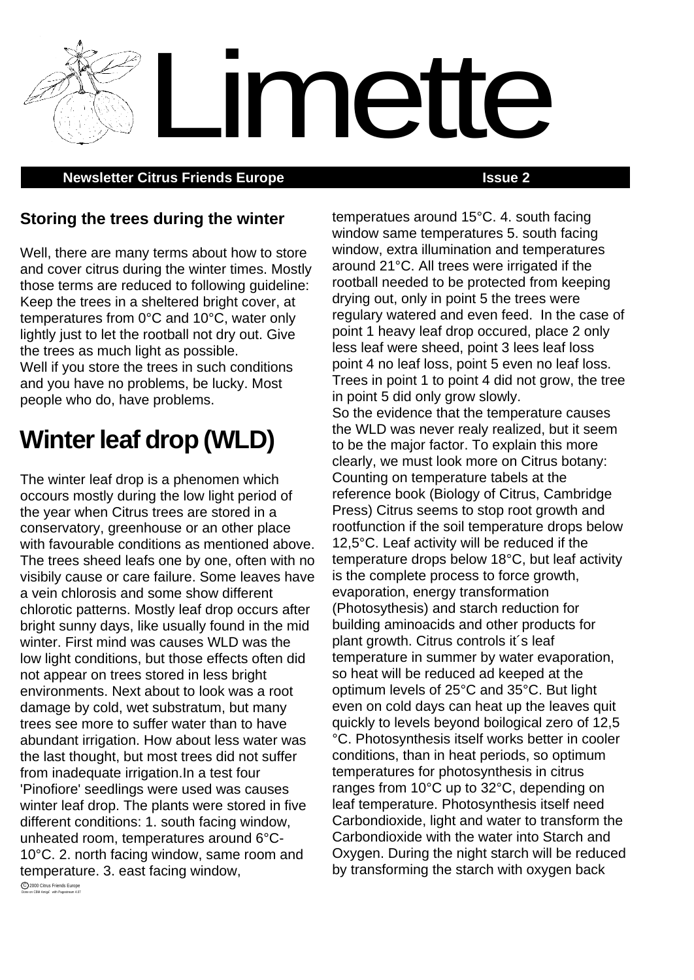**Newsletter Citrus Friends Europe <b>ISSUE 2 ISSUE 2** 

temperatues around 15°C. 4. south facing

Limette

## **Storing the trees during the winter**

Well, there are many terms about how to store and cover citrus during the winter times. Mostly those terms are reduced to following guideline: Keep the trees in a sheltered bright cover, at temperatures from 0°C and 10°C, water only lightly just to let the rootball not dry out. Give the trees as much light as possible. Well if you store the trees in such conditions and you have no problems, be lucky. Most people who do, have problems.

## **Winter leaf drop (WLD)**

The winter leaf drop is a phenomen which occours mostly during the low light period of the year when Citrus trees are stored in a conservatory, greenhouse or an other place with favourable conditions as mentioned above. The trees sheed leafs one by one, often with no visibily cause or care failure. Some leaves have a vein chlorosis and some show different chlorotic patterns. Mostly leaf drop occurs after bright sunny days, like usually found in the mid winter. First mind was causes WLD was the low light conditions, but those effects often did not appear on trees stored in less bright environments. Next about to look was a root damage by cold, wet substratum, but many trees see more to suffer water than to have abundant irrigation. How about less water was the last thought, but most trees did not suffer from inadequate irrigation.In a test four 'Pinofiore' seedlings were used was causes winter leaf drop. The plants were stored in five different conditions: 1. south facing window, unheated room, temperatures around 6°C-10°C. 2. north facing window, same room and temperature. 3. east facing window,

window same temperatures 5. south facing window, extra illumination and temperatures around 21°C. All trees were irrigated if the rootball needed to be protected from keeping drying out, only in point 5 the trees were regulary watered and even feed. In the case of point 1 heavy leaf drop occured, place 2 only less leaf were sheed, point 3 lees leaf loss point 4 no leaf loss, point 5 even no leaf loss. Trees in point 1 to point 4 did not grow, the tree in point 5 did only grow slowly. So the evidence that the temperature causes the WLD was never realy realized, but it seem to be the major factor. To explain this more clearly, we must look more on Citrus botany: Counting on temperature tabels at the reference book (Biology of Citrus, Cambridge Press) Citrus seems to stop root growth and rootfunction if the soil temperature drops below 12,5°C. Leaf activity will be reduced if the temperature drops below 18°C, but leaf activity is the complete process to force growth, evaporation, energy transformation (Photosythesis) and starch reduction for building aminoacids and other products for plant growth. Citrus controls it´s leaf temperature in summer by water evaporation, so heat will be reduced ad keeped at the optimum levels of 25°C and 35°C. But light even on cold days can heat up the leaves quit quickly to levels beyond boilogical zero of 12,5 °C. Photosynthesis itself works better in cooler conditions, than in heat periods, so optimum temperatures for photosynthesis in citrus ranges from 10°C up to 32°C, depending on leaf temperature. Photosynthesis itself need Carbondioxide, light and water to transform the Carbondioxide with the water into Starch and Oxygen. During the night starch will be reduced by transforming the starch with oxygen back

C 2000 Citrus Friends Europe<br>Done on CBM Amiga with Pagestream 4.07